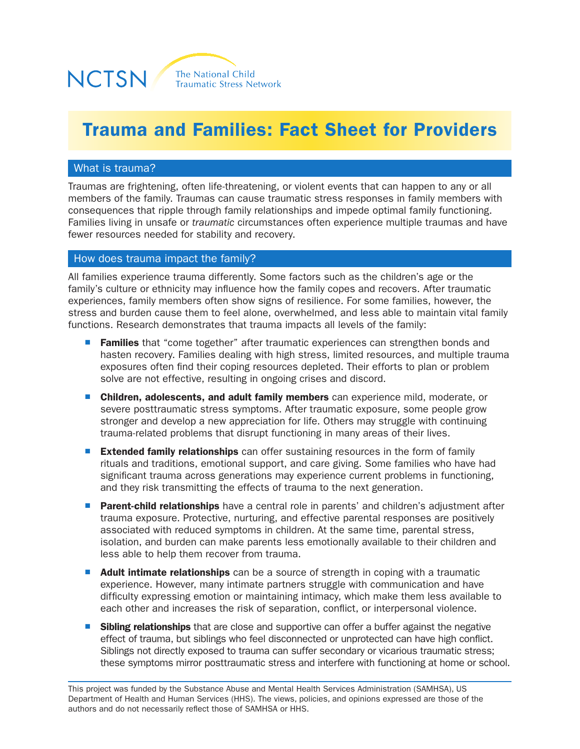

# Trauma and Families: Fact Sheet for Providers

### What is trauma?

Traumas are frightening, often life-threatening, or violent events that can happen to any or all members of the family. Traumas can cause traumatic stress responses in family members with consequences that ripple through family relationships and impede optimal family functioning. Families living in unsafe or *traumatic* circumstances often experience multiple traumas and have fewer resources needed for stability and recovery.

#### How does trauma impact the family?

All families experience trauma differently. Some factors such as the children's age or the family's culture or ethnicity may influence how the family copes and recovers. After traumatic experiences, family members often show signs of resilience. For some families, however, the stress and burden cause them to feel alone, overwhelmed, and less able to maintain vital family functions. Research demonstrates that trauma impacts all levels of the family:

- Families that "come together" after traumatic experiences can strengthen bonds and hasten recovery. Families dealing with high stress, limited resources, and multiple trauma exposures often find their coping resources depleted. Their efforts to plan or problem solve are not effective, resulting in ongoing crises and discord.
- **Children, adolescents, and adult family members** can experience mild, moderate, or severe posttraumatic stress symptoms. After traumatic exposure, some people grow stronger and develop a new appreciation for life. Others may struggle with continuing trauma-related problems that disrupt functioning in many areas of their lives.
- Extended family relationships can offer sustaining resources in the form of family rituals and traditions, emotional support, and care giving. Some families who have had significant trauma across generations may experience current problems in functioning, and they risk transmitting the effects of trauma to the next generation.
- Parent-child relationships have a central role in parents' and children's adjustment after trauma exposure. Protective, nurturing, and effective parental responses are positively associated with reduced symptoms in children. At the same time, parental stress, isolation, and burden can make parents less emotionally available to their children and less able to help them recover from trauma.
- Adult intimate relationships can be a source of strength in coping with a traumatic experience. However, many intimate partners struggle with communication and have difficulty expressing emotion or maintaining intimacy, which make them less available to each other and increases the risk of separation, conflict, or interpersonal violence.
- **Sibling relationships** that are close and supportive can offer a buffer against the negative effect of trauma, but siblings who feel disconnected or unprotected can have high conflict. Siblings not directly exposed to trauma can suffer secondary or vicarious traumatic stress; these symptoms mirror posttraumatic stress and interfere with functioning at home or school.